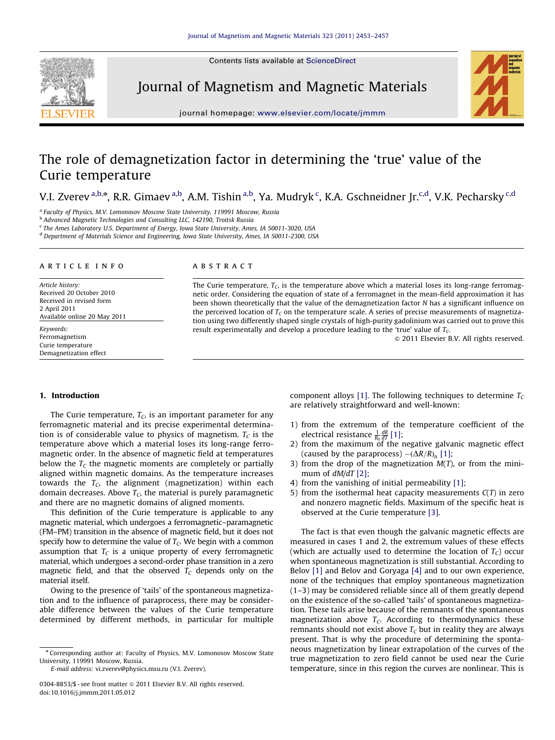Contents lists available at ScienceDirect



Journal of Magnetism and Magnetic Materials



journal homepage: <www.elsevier.com/locate/jmmm>

# The role of demagnetization factor in determining the 'true' value of the Curie temperature

V.I. Zverev <sup>a,b,</sup>\*, R.R. Gimaev <sup>a,b</sup>, A.M. Tishin <sup>a,b</sup>, Ya. Mudryk <sup>c</sup>, K.A. Gschneidner Jr.<sup>c,d</sup>, V.K. Pecharsky <sup>c,d</sup>

<sup>a</sup> Faculty of Physics, M.V. Lomonosov Moscow State University, 119991 Moscow, Russia

<sup>b</sup> Advanced Magnetic Technologies and Consulting LLC, 142190, Troitsk Russia

<sup>c</sup> The Ames Laboratory U.S. Department of Energy, Iowa State University, Ames, IA 50011-3020, USA

<sup>d</sup> Department of Materials Science and Engineering, Iowa State University, Ames, IA 50011-2300, USA

#### article info

Article history: Received 20 October 2010 Received in revised form 2 April 2011 Available online 20 May 2011

Keywords: Ferromagnetism Curie temperature Demagnetization effect

# ABSTRACT

The Curie temperature,  $T_c$ , is the temperature above which a material loses its long-range ferromagnetic order. Considering the equation of state of a ferromagnet in the mean-field approximation it has been shown theoretically that the value of the demagnetization factor N has a significant influence on the perceived location of  $T_c$  on the temperature scale. A series of precise measurements of magnetization using two differently shaped single crystals of high-purity gadolinium was carried out to prove this result experimentally and develop a procedure leading to the 'true' value of  $T<sub>C</sub>$ .

 $\odot$  2011 Elsevier B.V. All rights reserved.

## 1. Introduction

The Curie temperature,  $T_c$ , is an important parameter for any ferromagnetic material and its precise experimental determination is of considerable value to physics of magnetism.  $T_c$  is the temperature above which a material loses its long-range ferromagnetic order. In the absence of magnetic field at temperatures below the  $T<sub>C</sub>$  the magnetic moments are completely or partially aligned within magnetic domains. As the temperature increases towards the  $T_c$ , the alignment (magnetization) within each domain decreases. Above  $T<sub>G</sub>$ , the material is purely paramagnetic and there are no magnetic domains of aligned moments.

This definition of the Curie temperature is applicable to any magnetic material, which undergoes a ferromagnetic–paramagnetic (FM–PM) transition in the absence of magnetic field, but it does not specify how to determine the value of  $T_c$ . We begin with a common assumption that  $T_c$  is a unique property of every ferromagnetic material, which undergoes a second-order phase transition in a zero magnetic field, and that the observed  $T_c$  depends only on the material itself.

Owing to the presence of 'tails' of the spontaneous magnetization and to the influence of paraprocess, there may be considerable difference between the values of the Curie temperature determined by different methods, in particular for multiple

E-mail address: [vi.zverev@physics.msu.ru \(V.I. Zverev\)](mailto:vi.zverev@physics.msu.ru).

component alloys [\[1\]](#page-4-0). The following techniques to determine  $T_c$ are relatively straightforward and well-known:

- 1) from the extremum of the temperature coefficient of the electrical resistance  $\frac{1}{R_0} \frac{dR}{dT}$  [\[1\]](#page-4-0);
- 2) from the maximum of the negative galvanic magnetic effect (caused by the paraprocess)  $-(\Delta R/R)_n$  [\[1\];](#page-4-0)
- 3) from the drop of the magnetization  $M(T)$ , or from the minimum of  $dM/dT$  [\[2\];](#page-4-0)
- 4) from the vanishing of initial permeability [\[1\];](#page-4-0)
- 5) from the isothermal heat capacity measurements  $C(T)$  in zero and nonzero magnetic fields. Maximum of the specific heat is observed at the Curie temperature [\[3\].](#page-4-0)

The fact is that even though the galvanic magnetic effects are measured in cases 1 and 2, the extremum values of these effects (which are actually used to determine the location of  $T_c$ ) occur when spontaneous magnetization is still substantial. According to Belov [\[1\]](#page-4-0) and Belov and Goryaga [\[4\]](#page-4-0) and to our own experience, none of the techniques that employ spontaneous magnetization (1–3) may be considered reliable since all of them greatly depend on the existence of the so-called 'tails' of spontaneous magnetization. These tails arise because of the remnants of the spontaneous magnetization above  $T_c$ . According to thermodynamics these remnants should not exist above  $T<sub>C</sub>$  but in reality they are always present. That is why the procedure of determining the spontaneous magnetization by linear extrapolation of the curves of the true magnetization to zero field cannot be used near the Curie temperature, since in this region the curves are nonlinear. This is

<sup>n</sup> Corresponding author at: Faculty of Physics, M.V. Lomonosov Moscow State University, 119991 Moscow, Russia.

<sup>0304-8853/\$ -</sup> see front matter @ 2011 Elsevier B.V. All rights reserved. doi:[10.1016/j.jmmm.2011.05.012](dx.doi.org/10.1016/j.jmmm.2011.05.012)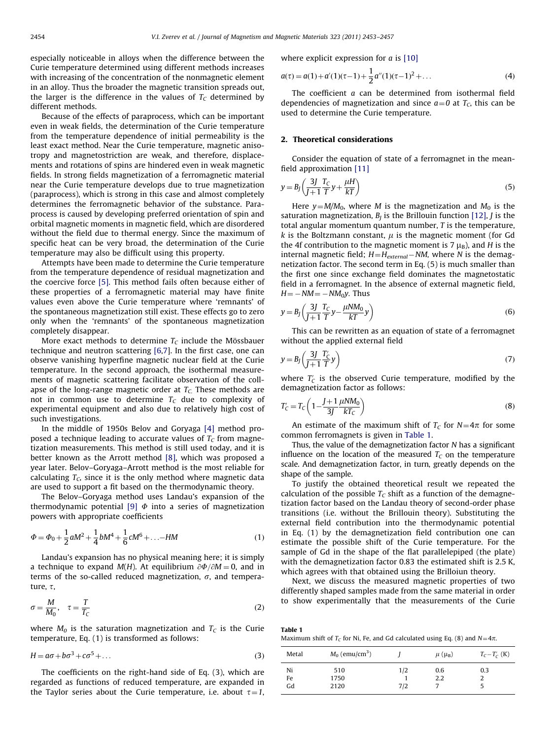especially noticeable in alloys when the difference between the Curie temperature determined using different methods increases with increasing of the concentration of the nonmagnetic element in an alloy. Thus the broader the magnetic transition spreads out, the larger is the difference in the values of  $T_c$  determined by different methods.

Because of the effects of paraprocess, which can be important even in weak fields, the determination of the Curie temperature from the temperature dependence of initial permeability is the least exact method. Near the Curie temperature, magnetic anisotropy and magnetostriction are weak, and therefore, displacements and rotations of spins are hindered even in weak magnetic fields. In strong fields magnetization of a ferromagnetic material near the Curie temperature develops due to true magnetization (paraprocess), which is strong in this case and almost completely determines the ferromagnetic behavior of the substance. Paraprocess is caused by developing preferred orientation of spin and orbital magnetic moments in magnetic field, which are disordered without the field due to thermal energy. Since the maximum of specific heat can be very broad, the determination of the Curie temperature may also be difficult using this property.

Attempts have been made to determine the Curie temperature from the temperature dependence of residual magnetization and the coercive force [\[5\].](#page-4-0) This method fails often because either of these properties of a ferromagnetic material may have finite values even above the Curie temperature where 'remnants' of the spontaneous magnetization still exist. These effects go to zero only when the 'remnants' of the spontaneous magnetization completely disappear.

More exact methods to determine  $T_c$  include the Mössbauer technique and neutron scattering [\[6,7\]](#page-4-0). In the first case, one can observe vanishing hyperfine magnetic nuclear field at the Curie temperature. In the second approach, the isothermal measurements of magnetic scattering facilitate observation of the collapse of the long-range magnetic order at  $T_c$ . These methods are not in common use to determine  $T_c$  due to complexity of experimental equipment and also due to relatively high cost of such investigations.

In the middle of 1950s Belov and Goryaga [\[4\]](#page-4-0) method proposed a technique leading to accurate values of  $T_c$  from magnetization measurements. This method is still used today, and it is better known as the Arrott method [\[8\],](#page-4-0) which was proposed a year later. Belov–Goryaga–Arrott method is the most reliable for calculating  $T_c$ , since it is the only method where magnetic data are used to support a fit based on the thermodynamic theory.

The Belov–Goryaga method uses Landau's expansion of the thermodynamic potential [\[9\]](#page-4-0)  $\Phi$  into a series of magnetization powers with appropriate coefficients

$$
\Phi = \Phi_0 + \frac{1}{2} aM^2 + \frac{1}{4} bM^4 + \frac{1}{6} cM^6 + \dots - HM \tag{1}
$$

Landau's expansion has no physical meaning here; it is simply a technique to expand  $M(H)$ . At equilibrium  $\partial \Phi/\partial M = 0$ , and in terms of the so-called reduced magnetization,  $\sigma$ , and temperature,  $\tau$ ,

$$
\sigma = \frac{M}{M_0}, \quad \tau = \frac{T}{T_C} \tag{2}
$$

where  $M_0$  is the saturation magnetization and  $T_c$  is the Curie temperature, Eq. (1) is transformed as follows:

$$
H = a\sigma + b\sigma^3 + c\sigma^5 + \dots \tag{3}
$$

The coefficients on the right-hand side of Eq. (3), which are regarded as functions of reduced temperature, are expanded in the Taylor series about the Curie temperature, i.e. about  $\tau=1$ , where explicit expression for  $a$  is [\[10\]](#page-4-0)

$$
a(\tau) = a(1) + a'(1)(\tau - 1) + \frac{1}{2}a''(1)(\tau - 1)^2 + \dots
$$
\n(4)

The coefficient a can be determined from isothermal field dependencies of magnetization and since  $a=0$  at  $T_c$ , this can be used to determine the Curie temperature.

### 2. Theoretical considerations

Consider the equation of state of a ferromagnet in the meanfield approximation [\[11\]](#page-4-0)

$$
y = B_J \left( \frac{3J}{J+1} \frac{T_C}{T} y + \frac{\mu H}{kT} \right) \tag{5}
$$

Here  $y=M/M_0$ , where M is the magnetization and M<sub>0</sub> is the saturation magnetization,  $B_I$  is the Brillouin function [\[12\],](#page-4-0) *J* is the total angular momentum quantum number, T is the temperature, k is the Boltzmann constant,  $\mu$  is the magnetic moment (for Gd the 4f contribution to the magnetic moment is 7  $\mu_B$ ), and H is the internal magnetic field;  $H = H_{external} - NM$ , where N is the demagnetization factor. The second term in Eq. (5) is much smaller than the first one since exchange field dominates the magnetostatic field in a ferromagnet. In the absence of external magnetic field,  $H = -NM = -NM_0y$ . Thus

$$
y = B_J \left( \frac{3J}{J+1} \frac{T_C}{T} y - \frac{\mu N M_0}{kT} y \right)
$$
(6)

This can be rewritten as an equation of state of a ferromagnet without the applied external field

$$
y = B_J \left( \frac{3J}{J+1} \frac{T_C'}{T} y \right) \tag{7}
$$

where  $T_C$  is the observed Curie temperature, modified by the demagnetization factor as follows:

$$
T_C' = T_C \left( 1 - \frac{J + 1}{3J} \frac{\mu N M_0}{kT_C} \right) \tag{8}
$$

An estimate of the maximum shift of  $T_c$  for  $N=4\pi$  for some common ferromagnets is given in Table 1.

Thus, the value of the demagnetization factor N has a significant influence on the location of the measured  $T_c$  on the temperature scale. And demagnetization factor, in turn, greatly depends on the shape of the sample.

To justify the obtained theoretical result we repeated the calculation of the possible  $T_c$  shift as a function of the demagnetization factor based on the Landau theory of second-order phase transitions (i.e. without the Brillouin theory). Substituting the external field contribution into the thermodynamic potential in Eq. (1) by the demagnetization field contribution one can estimate the possible shift of the Curie temperature. For the sample of Gd in the shape of the flat parallelepiped (the plate) with the demagnetization factor 0.83 the estimated shift is 2.5 K, which agrees with that obtained using the Brilloiun theory.

Next, we discuss the measured magnetic properties of two differently shaped samples made from the same material in order to show experimentally that the measurements of the Curie

Table 1 Maximum shift of  $T_c$  for Ni, Fe, and Gd calculated using Eq. (8) and  $N=4\pi$ .

| Metal          | $M_0$ (emu/cm <sup>3</sup> ) |            | $\mu$ ( $\mu_B$ ) | $T_C - T'_C$ (K) |
|----------------|------------------------------|------------|-------------------|------------------|
| Ni<br>Fe<br>Gd | 510<br>1750<br>2120          | 1/2<br>7/2 | 0.6<br>2.2        | 0.3              |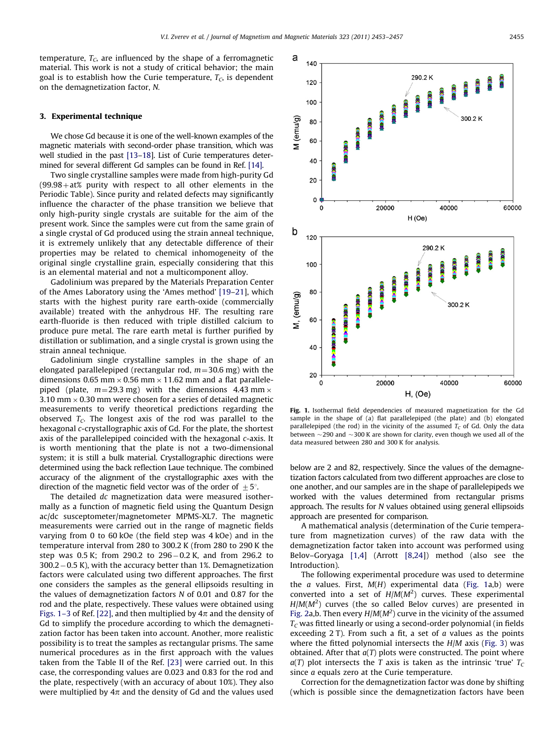a 140

120

100

temperature,  $T_c$ , are influenced by the shape of a ferromagnetic material. This work is not a study of critical behavior; the main goal is to establish how the Curie temperature,  $T_c$ , is dependent on the demagnetization factor, N.

### 3. Experimental technique

We chose Gd because it is one of the well-known examples of the magnetic materials with second-order phase transition, which was well studied in the past [\[13](#page-4-0)–[18\]](#page-4-0). List of Curie temperatures determined for several different Gd samples can be found in Ref. [\[14\]](#page-4-0).

Two single crystalline samples were made from high-purity Gd  $(99.98 + at\%)$  purity with respect to all other elements in the Periodic Table). Since purity and related defects may significantly influence the character of the phase transition we believe that only high-purity single crystals are suitable for the aim of the present work. Since the samples were cut from the same grain of a single crystal of Gd produced using the strain anneal technique, it is extremely unlikely that any detectable difference of their properties may be related to chemical inhomogeneity of the original single crystalline grain, especially considering that this is an elemental material and not a multicomponent alloy.

Gadolinium was prepared by the Materials Preparation Center of the Ames Laboratory using the 'Ames method' [\[19–21](#page-4-0)], which starts with the highest purity rare earth-oxide (commercially available) treated with the anhydrous HF. The resulting rare earth-fluoride is then reduced with triple distilled calcium to produce pure metal. The rare earth metal is further purified by distillation or sublimation, and a single crystal is grown using the strain anneal technique.

Gadolinium single crystalline samples in the shape of an elongated parallelepiped (rectangular rod,  $m=30.6$  mg) with the dimensions 0.65 mm  $\times$  0.56 mm  $\times$  11.62 mm and a flat parallelepiped (plate,  $m=29.3$  mg) with the dimensions 4.43 mm  $\times$ 3.10 mm  $\times$  0.30 mm were chosen for a series of detailed magnetic measurements to verify theoretical predictions regarding the observed  $T_c$ . The longest axis of the rod was parallel to the hexagonal c-crystallographic axis of Gd. For the plate, the shortest axis of the parallelepiped coincided with the hexagonal c-axis. It is worth mentioning that the plate is not a two-dimensional system; it is still a bulk material. Crystallographic directions were determined using the back reflection Laue technique. The combined accuracy of the alignment of the crystallographic axes with the direction of the magnetic field vector was of the order of  $\pm 5^{\circ}$ .

The detailed dc magnetization data were measured isothermally as a function of magnetic field using the Quantum Design ac/dc susceptometer/magnetometer MPMS-XL7. The magnetic measurements were carried out in the range of magnetic fields varying from 0 to 60 kOe (the field step was 4 kOe) and in the temperature interval from 280 to 300.2 K (from 280 to 290 K the step was 0.5 K; from 290.2 to 296-0.2 K, and from 296.2 to 300.2-0.5 K), with the accuracy better than 1%. Demagnetization factors were calculated using two different approaches. The first one considers the samples as the general ellipsoids resulting in the values of demagnetization factors N of 0.01 and 0.87 for the rod and the plate, respectively. These values were obtained using Figs. 1–3 of Ref. [\[22\],](#page-4-0) and then multiplied by  $4\pi$  and the density of Gd to simplify the procedure according to which the demagnetization factor has been taken into account. Another, more realistic possibility is to treat the samples as rectangular prisms. The same numerical procedures as in the first approach with the values taken from the Table II of the Ref. [\[23\]](#page-4-0) were carried out. In this case, the corresponding values are 0.023 and 0.83 for the rod and the plate, respectively (with an accuracy of about 10%). They also were multiplied by  $4\pi$  and the density of Gd and the values used



290 2 K

Fig. 1. Isothermal field dependencies of measured magnetization for the Gd sample in the shape of (a) flat parallelepiped (the plate) and (b) elongated parallelepiped (the rod) in the vicinity of the assumed  $T_c$  of Gd. Only the data between  $\sim$  290 and  $\sim$  300 K are shown for clarity, even though we used all of the data measured between 280 and 300 K for analysis.

below are 2 and 82, respectively. Since the values of the demagnetization factors calculated from two different approaches are close to one another, and our samples are in the shape of parallelepipeds we worked with the values determined from rectangular prisms approach. The results for N values obtained using general ellipsoids approach are presented for comparison.

A mathematical analysis (determination of the Curie temperature from magnetization curves) of the raw data with the demagnetization factor taken into account was performed using Belov–Goryaga [\[1](#page-4-0),[4\]](#page-4-0) (Arrott [\[8,24](#page-4-0)]) method (also see the Introduction).

The following experimental procedure was used to determine the  $a$  values. First,  $M(H)$  experimental data (Fig. 1a,b) were converted into a set of  $H/M(M^2)$  curves. These experimental  $H/M(M^2)$  curves (the so called Belov curves) are presented in [Fig. 2a](#page-3-0),b. Then every  $H/M(M^2)$  curve in the vicinity of the assumed  $T<sub>C</sub>$  was fitted linearly or using a second-order polynomial (in fields exceeding  $2$  T). From such a fit, a set of  $a$  values as the points where the fitted polynomial intersects the  $H/M$  axis [\(Fig. 3](#page-3-0)) was obtained. After that  $a(T)$  plots were constructed. The point where  $a(T)$  plot intersects the T axis is taken as the intrinsic 'true'  $T_c$ since *a* equals zero at the Curie temperature.

Correction for the demagnetization factor was done by shifting (which is possible since the demagnetization factors have been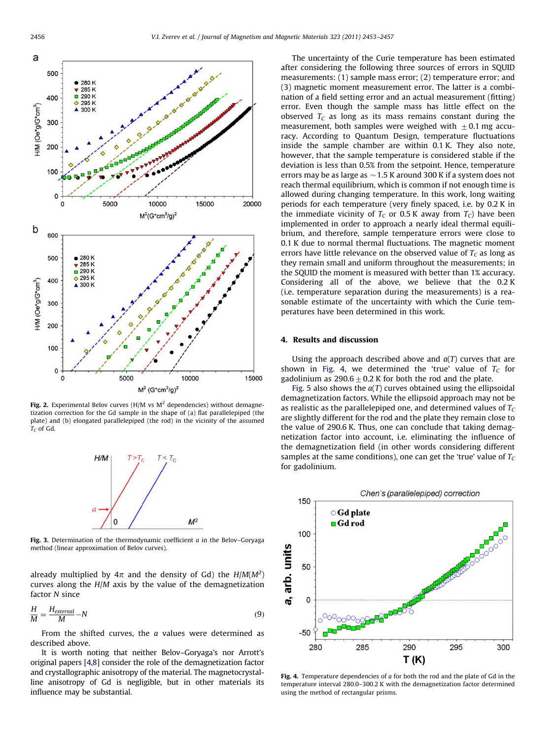<span id="page-3-0"></span>

Fig. 2. Experimental Belov curves (H/M vs  $M^2$  dependencies) without demagnetization correction for the Gd sample in the shape of (a) flat parallelepiped (the plate) and (b) elongated parallelepiped (the rod) in the vicinity of the assumed  $T_C$  of Gd.



Fig. 3. Determination of the thermodynamic coefficient  $a$  in the Belov–Goryaga method (linear approximation of Belov curves).

already multiplied by  $4\pi$  and the density of Gd) the  $H/M(M^2)$ curves along the H/M axis by the value of the demagnetization factor N since

$$
\frac{H}{M} = \frac{H_{external}}{M} - N
$$
\n(9)

From the shifted curves, the a values were determined as described above.

It is worth noting that neither Belov–Goryaga's nor Arrott's original papers [\[4,8](#page-4-0)] consider the role of the demagnetization factor and crystallographic anisotropy of the material. The magnetocrystalline anisotropy of Gd is negligible, but in other materials its influence may be substantial.

The uncertainty of the Curie temperature has been estimated after considering the following three sources of errors in SQUID measurements: (1) sample mass error; (2) temperature error; and (3) magnetic moment measurement error. The latter is a combination of a field setting error and an actual measurement (fitting) error. Even though the sample mass has little effect on the observed  $T_c$  as long as its mass remains constant during the measurement, both samples were weighed with  $\pm$  0.1 mg accuracy. According to Quantum Design, temperature fluctuations inside the sample chamber are within 0.1 K. They also note, however, that the sample temperature is considered stable if the deviation is less than 0.5% from the setpoint. Hence, temperature errors may be as large as  $\sim$  1.5 K around 300 K if a system does not reach thermal equilibrium, which is common if not enough time is allowed during changing temperature. In this work, long waiting periods for each temperature (very finely spaced, i.e. by 0.2 K in the immediate vicinity of  $T_c$  or 0.5 K away from  $T_c$ ) have been implemented in order to approach a nearly ideal thermal equilibrium, and therefore, sample temperature errors were close to 0.1 K due to normal thermal fluctuations. The magnetic moment errors have little relevance on the observed value of  $T_c$  as long as they remain small and uniform throughout the measurements; in the SQUID the moment is measured with better than 1% accuracy. Considering all of the above, we believe that the 0.2 K (i.e. temperature separation during the measurements) is a reasonable estimate of the uncertainty with which the Curie temperatures have been determined in this work.

### 4. Results and discussion

Using the approach described above and  $a(T)$  curves that are shown in Fig. 4, we determined the 'true' value of  $T_c$  for gadolinium as  $290.6\pm0.2$  K for both the rod and the plate.

[Fig. 5](#page-4-0) also shows the  $a(T)$  curves obtained using the ellipsoidal demagnetization factors. While the ellipsoid approach may not be as realistic as the parallelepiped one, and determined values of  $T<sub>C</sub>$ are slightly different for the rod and the plate they remain close to the value of 290.6 K. Thus, one can conclude that taking demagnetization factor into account, i.e. eliminating the influence of the demagnetization field (in other words considering different samples at the same conditions), one can get the 'true' value of  $T_c$ for gadolinium.



Fig. 4. Temperature dependencies of  $a$  for both the rod and the plate of Gd in the temperature interval 280.0–300.2 K with the demagnetization factor determined using the method of rectangular prisms.